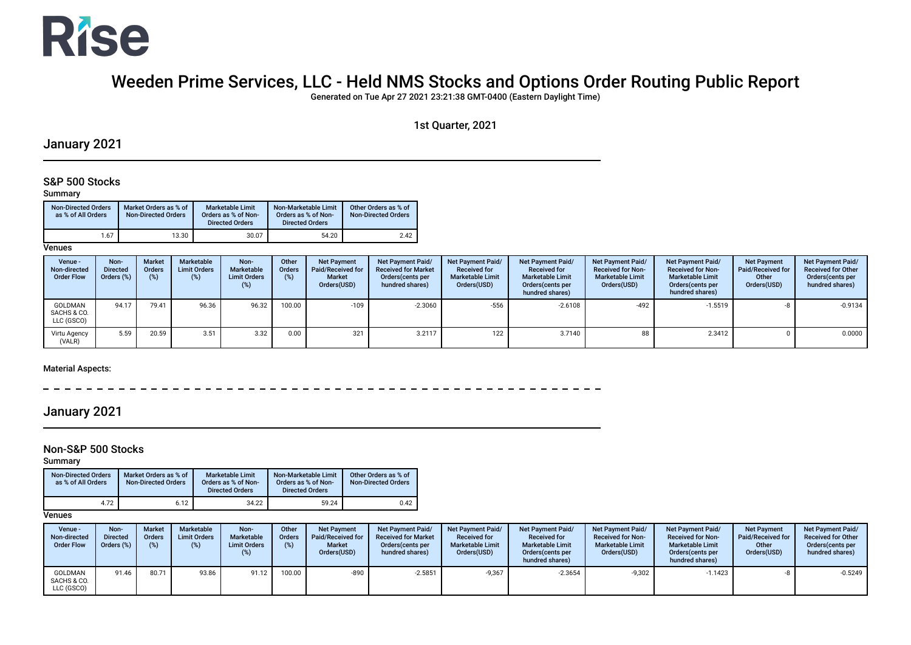

# Weeden Prime Services, LLC - Held NMS Stocks and Options Order Routing Public Report

Generated on Tue Apr 27 2021 23:21:38 GMT-0400 (Eastern Daylight Time)

### 1st Quarter, 2021

## January 2021

### S&P 500 Stocks

#### Summary

| <b>Non-Directed Orders</b><br>as % of All Orders | Market Orders as % of<br><b>Non-Directed Orders</b> | <b>Marketable Limit</b><br>Orders as % of Non-<br><b>Directed Orders</b> | Non-Marketable Limit<br>Orders as % of Non-<br><b>Directed Orders</b> | Other Orders as % of<br><b>Non-Directed Orders</b> |
|--------------------------------------------------|-----------------------------------------------------|--------------------------------------------------------------------------|-----------------------------------------------------------------------|----------------------------------------------------|
| 1.67                                             | 13.30                                               | 30.07                                                                    | 54.20                                                                 | 2.42                                               |

**Venues** 

| Venue -<br>Non-directed<br><b>Order Flow</b> | Non-<br><b>Directed</b><br>Orders (%) | <b>Market</b><br><b>Orders</b><br>(%) | <b>Marketable</b><br><b>Limit Orders</b><br>(%) | Non-<br>Marketable<br><b>Limit Orders</b><br>(%) | Other<br>Orders<br>(%) | <b>Net Payment</b><br>Paid/Received for<br><b>Market</b><br>Orders(USD) | <b>Net Payment Paid/</b><br><b>Received for Market</b><br>Orders (cents per<br>hundred shares) | Net Payment Paid/<br><b>Received for</b><br><b>Marketable Limit</b><br>Orders(USD) | Net Payment Paid/<br><b>Received for</b><br><b>Marketable Limit</b><br>Orders (cents per<br>hundred shares) | Net Payment Paid/<br><b>Received for Non-</b><br><b>Marketable Limit</b><br>Orders(USD) | <b>Net Payment Paid/</b><br><b>Received for Non-</b><br><b>Marketable Limit</b><br>Orders (cents per<br>hundred shares) | <b>Net Payment</b><br><b>Paid/Received for</b><br>Other<br>Orders(USD) | Net Payment Paid/<br><b>Received for Other</b><br>Orders(cents per<br>hundred shares) |
|----------------------------------------------|---------------------------------------|---------------------------------------|-------------------------------------------------|--------------------------------------------------|------------------------|-------------------------------------------------------------------------|------------------------------------------------------------------------------------------------|------------------------------------------------------------------------------------|-------------------------------------------------------------------------------------------------------------|-----------------------------------------------------------------------------------------|-------------------------------------------------------------------------------------------------------------------------|------------------------------------------------------------------------|---------------------------------------------------------------------------------------|
| <b>GOLDMAN</b><br>SACHS & CO.<br>LLC (GSCO)  | 94.17                                 | 79.41                                 | 96.36                                           | 96.32                                            | 100.00                 | $-109$                                                                  | $-2.3060$                                                                                      | $-556$                                                                             | $-2.6108$                                                                                                   | $-492$                                                                                  | -1.5519                                                                                                                 |                                                                        | $-0.9134$                                                                             |
| Virtu Agency<br>(VALR)                       | 5.59                                  | 20.59                                 | 3.51                                            | 3.32                                             | 0.00                   | 321                                                                     | 3.2117                                                                                         | 122                                                                                | 3.7140                                                                                                      | 88                                                                                      | 2.3412                                                                                                                  |                                                                        | 0.0000                                                                                |

Material Aspects:

 $-$ 

## January 2021

### Non-S&P 500 Stocks

Summary

| <b>Non-Directed Orders</b><br>as % of All Orders | Market Orders as % of<br><b>Non-Directed Orders</b> | <b>Marketable Limit</b><br>Orders as % of Non-<br><b>Directed Orders</b> | Non-Marketable Limit<br>Orders as % of Non-<br><b>Directed Orders</b> | Other Orders as % of<br><b>Non-Directed Orders</b> |
|--------------------------------------------------|-----------------------------------------------------|--------------------------------------------------------------------------|-----------------------------------------------------------------------|----------------------------------------------------|
| 4.72                                             | 6.12                                                | 34.22                                                                    | 59.24                                                                 | 0.42                                               |

| Venue -<br>Non-directed<br><b>Order Flow</b> | Non-<br><b>Directed</b><br>Orders (%) | <b>Market</b><br><b>Orders</b><br>$(\%)$ | Marketable<br><b>Limit Orders</b><br>(%) | Non-<br>Marketable<br><b>Limit Orders</b> | Other<br><b>Orders</b><br>(%) | <b>Net Payment</b><br>Paid/Received for<br><b>Market</b><br>Orders(USD) | Net Payment Paid/<br><b>Received for Market</b><br>Orders (cents per<br>hundred shares) | Net Payment Paid/<br><b>Received for</b><br><b>Marketable Limit</b><br>Orders(USD) | Net Payment Paid/<br><b>Received for</b><br><b>Marketable Limit</b><br>Orders (cents per<br>hundred shares) | <b>Net Payment Paid/</b><br><b>Received for Non-</b><br><b>Marketable Limit</b><br>Orders(USD) | Net Payment Paid/<br><b>Received for Non-</b><br><b>Marketable Limit</b><br>Orders (cents per<br>hundred shares) | <b>Net Payment</b><br>Paid/Received for<br>Other<br>Orders(USD) | <b>Net Payment Paid/</b><br><b>Received for Other</b><br>Orders (cents per<br>hundred shares) |
|----------------------------------------------|---------------------------------------|------------------------------------------|------------------------------------------|-------------------------------------------|-------------------------------|-------------------------------------------------------------------------|-----------------------------------------------------------------------------------------|------------------------------------------------------------------------------------|-------------------------------------------------------------------------------------------------------------|------------------------------------------------------------------------------------------------|------------------------------------------------------------------------------------------------------------------|-----------------------------------------------------------------|-----------------------------------------------------------------------------------------------|
| <b>GOLDMAN</b><br>SACHS & CO.<br>LLC (GSCO)  |                                       | 80.71                                    | 93.86                                    | 91.12                                     | 100.00                        | $-890$                                                                  | $-2.5851$                                                                               | $-9,367$                                                                           | $-2.3654$                                                                                                   | $-9,302$                                                                                       | $-1.1423$                                                                                                        |                                                                 | $-0.5249$                                                                                     |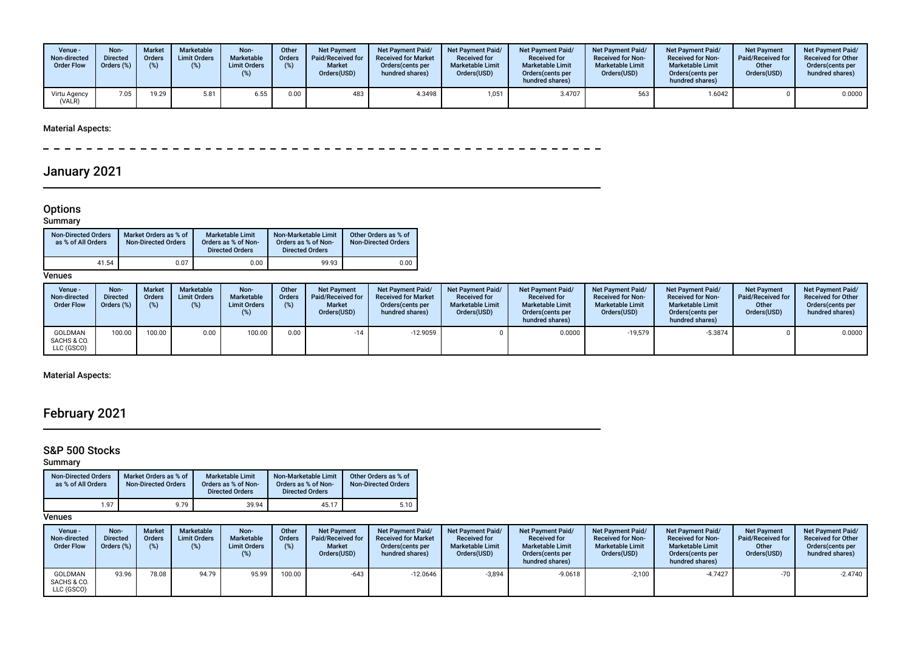| Venue -<br>Non-directed<br><b>Order Flow</b> | Non-<br><b>Directed</b><br>Orders (%) | <b>Market</b><br>Orders<br>(%) | Marketable<br><b>Limit Orders</b><br>(%) | Non-<br>Marketable<br><b>Limit Orders</b> | Other<br><b>Orders</b><br>(%) | <b>Net Payment</b><br>Paid/Received for<br><b>Market</b><br>Orders(USD) | <b>Net Payment Paid/</b><br><b>Received for Market</b><br>Orders (cents per<br>hundred shares) | <b>Net Payment Paid/</b><br><b>Received for</b><br><b>Marketable Limit</b><br>Orders(USD) | <b>Net Payment Paid/</b><br><b>Received for</b><br><b>Marketable Limit</b><br>Orders(cents per<br>hundred shares) | <b>Net Payment Paid/</b><br><b>Received for Non-</b><br><b>Marketable Limit</b><br>Orders(USD) | <b>Net Payment Paid/</b><br><b>Received for Non-</b><br><b>Marketable Limit</b><br>Orders(cents per<br>hundred shares) | <b>Net Payment</b><br>Paid/Received for<br>Other<br>Orders(USD) | <b>Net Payment Paid/</b><br><b>Received for Other</b><br>Orders(cents per<br>hundred shares) |
|----------------------------------------------|---------------------------------------|--------------------------------|------------------------------------------|-------------------------------------------|-------------------------------|-------------------------------------------------------------------------|------------------------------------------------------------------------------------------------|-------------------------------------------------------------------------------------------|-------------------------------------------------------------------------------------------------------------------|------------------------------------------------------------------------------------------------|------------------------------------------------------------------------------------------------------------------------|-----------------------------------------------------------------|----------------------------------------------------------------------------------------------|
| Virtu Agency<br>(VALR)                       | 7.05                                  | 19.29                          | 5.81                                     | 6.55                                      | 0.00                          | 483                                                                     | 4.3498                                                                                         | 1,051                                                                                     | 3.4707                                                                                                            | 563                                                                                            | 1.6042                                                                                                                 |                                                                 | 0.0000                                                                                       |

 $- - - - - - =$   $-$ 

# January 2021

#### Options

 $\overline{\phantom{0}}$ 

#### Summary

| <b>Non-Directed Orders</b><br>as % of All Orders | Market Orders as % of<br><b>Non-Directed Orders</b> | <b>Marketable Limit</b><br>Orders as % of Non-<br><b>Directed Orders</b> | Non-Marketable Limit<br>Orders as % of Non-<br><b>Directed Orders</b> | Other Orders as % of<br><b>Non-Directed Orders</b> |
|--------------------------------------------------|-----------------------------------------------------|--------------------------------------------------------------------------|-----------------------------------------------------------------------|----------------------------------------------------|
| 41.54                                            | 0.07                                                | 0.00                                                                     | 99.93                                                                 | 0.00                                               |

**Venues** 

| Venue -<br>Non-directed<br><b>Order Flow</b> | Non-<br><b>Directed</b><br>Orders (%) | <b>Market</b><br><b>Orders</b><br>(%) | <b>Marketable</b><br><b>Limit Orders</b><br>$\frac{1}{2}$ | Non-<br>Marketable<br><b>Limit Orders</b><br>(%) | Other<br><b>Orders</b><br>(%) | <b>Net Payment</b><br>Paid/Received for<br><b>Market</b><br>Orders(USD) | Net Payment Paid/<br><b>Received for Market</b><br>Orders (cents per<br>hundred shares) | <b>Net Payment Paid/</b><br><b>Received for</b><br><b>Marketable Limit</b><br>Orders(USD) | <b>Net Payment Paid/</b><br><b>Received for</b><br><b>Marketable Limit</b><br>Orders (cents per<br>hundred shares) | <b>Net Payment Paid/</b><br><b>Received for Non-</b><br><b>Marketable Limit</b><br>Orders(USD) | Net Payment Paid/<br><b>Received for Non-</b><br><b>Marketable Limit</b><br>Orders (cents per<br>hundred shares) | <b>Net Payment</b><br>Paid/Received for<br>Other<br>Orders(USD) | <b>Net Payment Paid/</b><br><b>Received for Other</b><br>Orders (cents per<br>hundred shares) |
|----------------------------------------------|---------------------------------------|---------------------------------------|-----------------------------------------------------------|--------------------------------------------------|-------------------------------|-------------------------------------------------------------------------|-----------------------------------------------------------------------------------------|-------------------------------------------------------------------------------------------|--------------------------------------------------------------------------------------------------------------------|------------------------------------------------------------------------------------------------|------------------------------------------------------------------------------------------------------------------|-----------------------------------------------------------------|-----------------------------------------------------------------------------------------------|
| GOLDMAN<br>SACHS & CO.<br>LLC (GSCO)         | 100.00                                | 100.00                                | 0.00                                                      | 100.00                                           | 0.00                          | $-14$                                                                   | $-12.9059$                                                                              |                                                                                           | 0.0000                                                                                                             | $-19,579$                                                                                      | $-5.3874$                                                                                                        |                                                                 | 0.0000                                                                                        |

## Material Aspects:

# February 2021

## S&P 500 Stocks

Summary

| <b>Non-Directed Orders</b><br>as % of All Orders | Market Orders as % of<br><b>Non-Directed Orders</b> | <b>Marketable Limit</b><br>Orders as % of Non-<br><b>Directed Orders</b> | Non-Marketable Limit<br>Orders as % of Non-<br><b>Directed Orders</b> | Other Orders as % of<br><b>Non-Directed Orders</b> |
|--------------------------------------------------|-----------------------------------------------------|--------------------------------------------------------------------------|-----------------------------------------------------------------------|----------------------------------------------------|
| 1.97                                             | 9.79                                                | 39.94                                                                    | 45.17                                                                 | 5.10                                               |

| Venue -<br>Non-directed<br><b>Order Flow</b> | Non-<br><b>Directed</b><br>Orders (%) | <b>Market</b><br><b>Orders</b><br>$(\%)$ | Marketable<br><b>Limit Orders</b><br>(%) | Non-<br>Marketable<br><b>Limit Orders</b><br>(%) | Other<br><b>Orders</b><br>(%) | <b>Net Payment</b><br><b>Paid/Received for</b><br><b>Market</b><br>Orders(USD) | Net Payment Paid/<br><b>Received for Market</b><br>Orders (cents per<br>hundred shares) | <b>Net Payment Paid/</b><br><b>Received for</b><br><b>Marketable Limit</b><br>Orders(USD) | <b>Net Payment Paid/</b><br><b>Received for</b><br><b>Marketable Limit</b><br>Orders (cents per<br>hundred shares) | <b>Net Payment Paid/</b><br><b>Received for Non-</b><br><b>Marketable Limit</b><br>Orders(USD) | <b>Net Payment Paid/</b><br><b>Received for Non-</b><br><b>Marketable Limit</b><br>Orders (cents per<br>hundred shares) | <b>Net Payment</b><br><b>Paid/Received for</b><br>Other<br>Orders(USD) | Net Payment Paid/<br><b>Received for Other</b><br>Orders (cents per<br>hundred shares) |
|----------------------------------------------|---------------------------------------|------------------------------------------|------------------------------------------|--------------------------------------------------|-------------------------------|--------------------------------------------------------------------------------|-----------------------------------------------------------------------------------------|-------------------------------------------------------------------------------------------|--------------------------------------------------------------------------------------------------------------------|------------------------------------------------------------------------------------------------|-------------------------------------------------------------------------------------------------------------------------|------------------------------------------------------------------------|----------------------------------------------------------------------------------------|
| GOLDMAN<br>SACHS & CO.<br>LLC (GSCO)         | 93.96                                 | 78.08                                    | 94.79                                    | 95.99                                            | 100.00                        | $-643$                                                                         | $-12.0646$                                                                              | $-3,894$                                                                                  | $-9.0618$                                                                                                          | $-2,100$                                                                                       | $-4.7427$                                                                                                               | $-70$                                                                  | $-2.4740$                                                                              |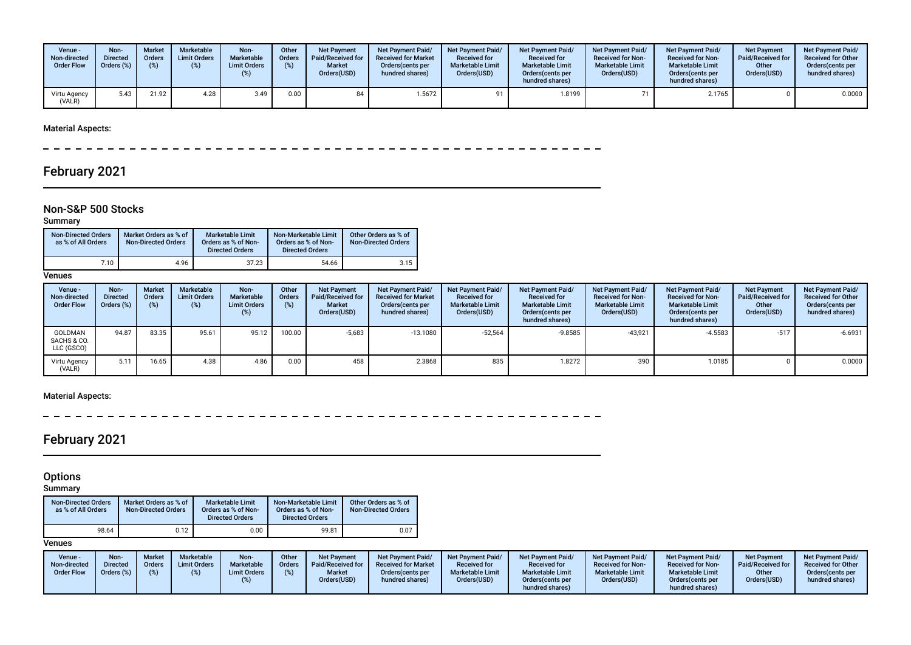| Venue -<br>Non-directed<br><b>Order Flow</b> | Non-<br><b>Directed</b><br>Orders (%) | <b>Market</b><br>Orders<br>(9) | Marketable<br><b>Limit Orders</b><br>(%) | Non-<br>Marketable<br><b>Limit Orders</b> | Other<br><b>Orders</b><br>(%) | <b>Net Payment</b><br>Paid/Received for<br><b>Market</b><br>Orders(USD) | <b>Net Payment Paid/</b><br><b>Received for Market</b><br>Orders (cents per<br>hundred shares) | <b>Net Payment Paid/</b><br><b>Received for</b><br><b>Marketable Limit</b><br>Orders(USD) | <b>Net Payment Paid/</b><br><b>Received for</b><br><b>Marketable Limit</b><br>Orders(cents per<br>hundred shares) | <b>Net Payment Paid/</b><br><b>Received for Non-</b><br><b>Marketable Limit</b><br>Orders(USD) | <b>Net Payment Paid/</b><br><b>Received for Non-</b><br><b>Marketable Limit</b><br>Orders(cents per<br>hundred shares) | <b>Net Payment</b><br><b>Paid/Received for</b><br>Other<br>Orders(USD) | <b>Net Payment Paid/</b><br><b>Received for Other</b><br>Orders (cents per<br>hundred shares) |
|----------------------------------------------|---------------------------------------|--------------------------------|------------------------------------------|-------------------------------------------|-------------------------------|-------------------------------------------------------------------------|------------------------------------------------------------------------------------------------|-------------------------------------------------------------------------------------------|-------------------------------------------------------------------------------------------------------------------|------------------------------------------------------------------------------------------------|------------------------------------------------------------------------------------------------------------------------|------------------------------------------------------------------------|-----------------------------------------------------------------------------------------------|
| Virtu Agency<br>(VALR)                       | 5.43                                  | 21.92                          | 4.28                                     | 3.49                                      | 0.00                          | 84                                                                      | 1.5672                                                                                         |                                                                                           | 1.8199                                                                                                            |                                                                                                | 2.1765                                                                                                                 |                                                                        | 0.0000                                                                                        |

 $\frac{1}{2}$  $\frac{1}{2}$  $- - - - - - - -$ 

# February 2021

### Non-S&P 500 Stocks

### Summary

| <b>Non-Directed Orders</b><br>as % of All Orders | Market Orders as % of<br><b>Non-Directed Orders</b> | <b>Marketable Limit</b><br>Orders as % of Non-<br><b>Directed Orders</b> | Non-Marketable Limit<br>Orders as % of Non-<br><b>Directed Orders</b> | Other Orders as % of<br><b>Non-Directed Orders</b> |
|--------------------------------------------------|-----------------------------------------------------|--------------------------------------------------------------------------|-----------------------------------------------------------------------|----------------------------------------------------|
| 7.10                                             | 4.96                                                | 37.23                                                                    | 54.66                                                                 | 3.15                                               |

**Venues** 

| Venue -<br>Non-directed<br><b>Order Flow</b> | Non-<br><b>Directed</b><br>Orders (%) | <b>Market</b><br>Orders<br>$(\%)$ | Marketable<br><b>Limit Orders</b><br>(%) | Non-<br>Marketable<br><b>Limit Orders</b><br>(%) | Other<br><b>Orders</b><br>(%) | <b>Net Payment</b><br>Paid/Received for<br><b>Market</b><br>Orders(USD) | <b>Net Payment Paid/</b><br><b>Received for Market</b><br>Orders (cents per<br>hundred shares) | Net Payment Paid/<br><b>Received for</b><br><b>Marketable Limit</b><br>Orders(USD) | <b>Net Payment Paid/</b><br><b>Received for</b><br><b>Marketable Limit</b><br>Orders (cents per<br>hundred shares) | Net Payment Paid/<br><b>Received for Non-</b><br><b>Marketable Limit</b><br>Orders(USD) | <b>Net Payment Paid/</b><br><b>Received for Non-</b><br><b>Marketable Limit</b><br>Orders (cents per<br>hundred shares) | <b>Net Payment</b><br>Paid/Received for<br>Other<br>Orders(USD) | Net Payment Paid/<br><b>Received for Other</b><br>Orders (cents per<br>hundred shares) |
|----------------------------------------------|---------------------------------------|-----------------------------------|------------------------------------------|--------------------------------------------------|-------------------------------|-------------------------------------------------------------------------|------------------------------------------------------------------------------------------------|------------------------------------------------------------------------------------|--------------------------------------------------------------------------------------------------------------------|-----------------------------------------------------------------------------------------|-------------------------------------------------------------------------------------------------------------------------|-----------------------------------------------------------------|----------------------------------------------------------------------------------------|
| <b>GOLDMAN</b><br>SACHS & CO.<br>LLC (GSCO)  | 94.87                                 | 83.35                             | 95.61                                    | 95.12                                            | 100.00                        | $-5,683$                                                                | $-13.1080$                                                                                     | $-52,564$                                                                          | $-9.8585$                                                                                                          | $-43,921$                                                                               | $-4.5583$                                                                                                               | $-517$                                                          | $-6.6931$                                                                              |
| Virtu Agency<br>(VALR)                       | 5.11                                  | 16.65                             | 4.38                                     | 4.86                                             | 0.00                          | 458                                                                     | 2.3868                                                                                         | 835                                                                                | 1.8272                                                                                                             | 390                                                                                     | 1.0185                                                                                                                  |                                                                 | 0.0000                                                                                 |

### Material Aspects:

\_\_\_\_\_\_\_\_\_\_\_\_\_\_\_\_\_\_\_\_\_\_\_\_\_  $\equiv$  $\overline{\phantom{a}}$  $\overline{\phantom{a}}$ 

# February 2021

#### **Options**

Summary

| <b>Non-Directed Orders</b><br>as % of All Orders | Market Orders as % of<br><b>Non-Directed Orders</b> | <b>Marketable Limit</b><br>Orders as % of Non-<br><b>Directed Orders</b> | Non-Marketable Limit<br>Orders as % of Non-<br><b>Directed Orders</b> | Other Orders as % of<br><b>Non-Directed Orders</b> |
|--------------------------------------------------|-----------------------------------------------------|--------------------------------------------------------------------------|-----------------------------------------------------------------------|----------------------------------------------------|
| 98.64                                            | 0.12                                                | 0.00                                                                     | 99.81                                                                 | 0.07                                               |

| Venue -<br>Non-directed<br><b>Order Flow</b> | <b>Non</b><br><b>Market</b><br><b>Directed</b><br>Orders<br>Orders (%)<br>(9) | Marketable<br><b>Limit Orders</b> | Non-<br>Marketable<br><b>Limit Orders</b> | Other<br><b>Orders</b><br>(%) | Net Payment<br>Paid/Received for<br><b>Market</b><br>Orders(USD) | <b>Net Payment Paid/</b><br><b>Received for Market</b><br>Orders (cents per<br>hundred shares) | <b>Net Payment Paid/</b><br><b>Received for</b><br><b>Marketable Limit</b><br>Orders(USD) | Net Payment Paid/<br><b>Received for</b><br><b>Marketable Limit</b><br>Orders (cents per<br>hundred shares) | <b>Net Payment Paid/</b><br><b>Received for Non-</b><br><b>Marketable Limit</b><br>Orders(USD) | <b>Net Payment Paid/</b><br><b>Received for Non-</b><br><b>Marketable Limit</b><br>Orders(cents per<br>hundred shares) | Net Payment<br>Paid/Received for<br>Other<br>Orders(USD) | <b>Net Payment Paid/</b><br><b>Received for Other</b><br>Orders (cents per<br>hundred shares) |
|----------------------------------------------|-------------------------------------------------------------------------------|-----------------------------------|-------------------------------------------|-------------------------------|------------------------------------------------------------------|------------------------------------------------------------------------------------------------|-------------------------------------------------------------------------------------------|-------------------------------------------------------------------------------------------------------------|------------------------------------------------------------------------------------------------|------------------------------------------------------------------------------------------------------------------------|----------------------------------------------------------|-----------------------------------------------------------------------------------------------|
|----------------------------------------------|-------------------------------------------------------------------------------|-----------------------------------|-------------------------------------------|-------------------------------|------------------------------------------------------------------|------------------------------------------------------------------------------------------------|-------------------------------------------------------------------------------------------|-------------------------------------------------------------------------------------------------------------|------------------------------------------------------------------------------------------------|------------------------------------------------------------------------------------------------------------------------|----------------------------------------------------------|-----------------------------------------------------------------------------------------------|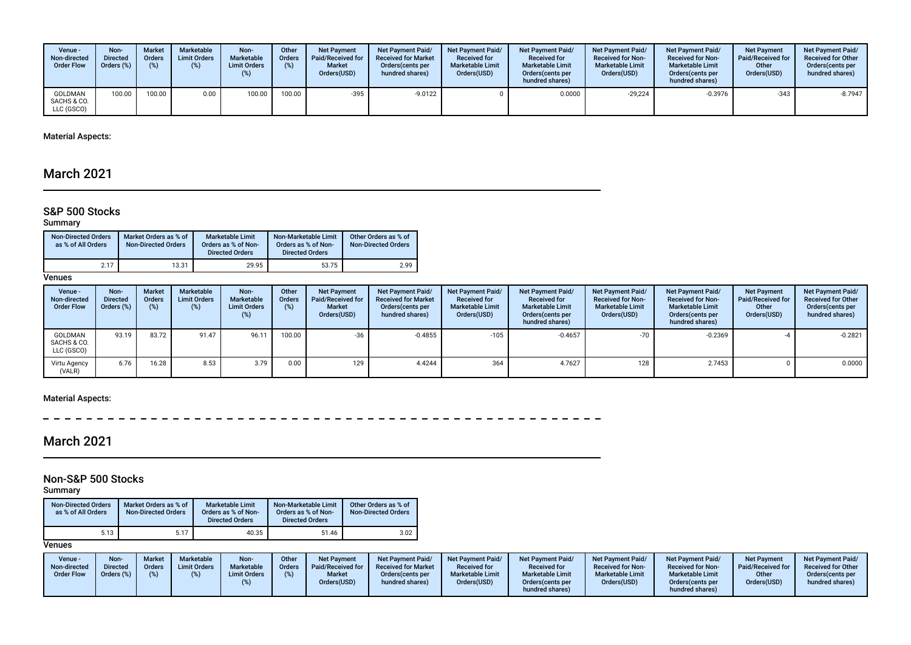| Venue -<br>Non-directed<br><b>Order Flow</b> | Non-<br><b>Directed</b><br>Orders (%) | <b>Market</b><br><b>Orders</b> | Marketable<br><b>Limit Orders</b><br>(%) | Non-<br>Marketable<br><b>Limit Orders</b><br>(%) | Other<br>Orders<br>(%) | <b>Net Payment</b><br>Paid/Received for<br><b>Market</b><br>Orders(USD) | <b>Net Payment Paid/</b><br><b>Received for Market</b><br>Orders (cents per<br>hundred shares) | <b>Net Payment Paid/</b><br><b>Received for</b><br><b>Marketable Limit</b><br>Orders(USD) | <b>Net Payment Paid/</b><br><b>Received for</b><br><b>Marketable Limit</b><br>Orders(cents per<br>hundred shares) | <b>Net Payment Paid/</b><br><b>Received for Non-</b><br><b>Marketable Limit</b><br>Orders(USD) | <b>Net Payment Paid/</b><br><b>Received for Non-</b><br><b>Marketable Limit</b><br>Orders (cents per<br>hundred shares) | <b>Net Payment</b><br><b>Paid/Received for</b><br>Other<br>Orders(USD) | <b>Net Payment Paid/</b><br><b>Received for Other</b><br>Orders (cents per<br>hundred shares) |
|----------------------------------------------|---------------------------------------|--------------------------------|------------------------------------------|--------------------------------------------------|------------------------|-------------------------------------------------------------------------|------------------------------------------------------------------------------------------------|-------------------------------------------------------------------------------------------|-------------------------------------------------------------------------------------------------------------------|------------------------------------------------------------------------------------------------|-------------------------------------------------------------------------------------------------------------------------|------------------------------------------------------------------------|-----------------------------------------------------------------------------------------------|
| <b>GOLDMAN</b><br>SACHS & CO.<br>LLC (GSCO)  | 00.00                                 | 100.00                         | 0.00                                     | 100.00                                           | 100.00                 | $-395$                                                                  | $-9.0122$                                                                                      |                                                                                           | 0.0000                                                                                                            | $-29.224$                                                                                      | -0.3976                                                                                                                 | $-343$                                                                 | $-8.7947$                                                                                     |

## March 2021

### S&P 500 Stocks

### Summary

| <b>Non-Directed Orders</b><br>as % of All Orders | Market Orders as % of<br><b>Non-Directed Orders</b> | <b>Marketable Limit</b><br>Orders as % of Non-<br><b>Directed Orders</b> | Non-Marketable Limit<br>Orders as % of Non-<br><b>Directed Orders</b> | Other Orders as % of<br><b>Non-Directed Orders</b> |
|--------------------------------------------------|-----------------------------------------------------|--------------------------------------------------------------------------|-----------------------------------------------------------------------|----------------------------------------------------|
| 2.17                                             | 13.31                                               | 29.95                                                                    | 53.75                                                                 | 2.99                                               |

**Venues** 

| Venue -<br>Non-directed<br><b>Order Flow</b> | Non-<br><b>Directed</b><br>Orders (%) | <b>Market</b><br>Orders<br>(%) | Marketable<br><b>Limit Orders</b><br>(%) | Non-<br>Marketable<br><b>Limit Orders</b><br>$(\%)$ | Other<br><b>Orders</b><br>(%) | <b>Net Payment</b><br>Paid/Received for<br><b>Market</b><br>Orders(USD) | Net Payment Paid/<br><b>Received for Market</b><br>Orders (cents per<br>hundred shares) | <b>Net Payment Paid/</b><br><b>Received for</b><br><b>Marketable Limit</b><br>Orders(USD) | <b>Net Payment Paid/</b><br><b>Received for</b><br><b>Marketable Limit</b><br>Orders (cents per<br>hundred shares) | Net Payment Paid/<br><b>Received for Non-</b><br><b>Marketable Limit</b><br>Orders(USD) | <b>Net Payment Paid/</b><br><b>Received for Non-</b><br><b>Marketable Limit</b><br>Orders (cents per<br>hundred shares) | <b>Net Payment</b><br><b>Paid/Received for</b><br>Other<br>Orders(USD) | <b>Net Payment Paid/</b><br><b>Received for Other</b><br>Orders(cents per<br>hundred shares) |
|----------------------------------------------|---------------------------------------|--------------------------------|------------------------------------------|-----------------------------------------------------|-------------------------------|-------------------------------------------------------------------------|-----------------------------------------------------------------------------------------|-------------------------------------------------------------------------------------------|--------------------------------------------------------------------------------------------------------------------|-----------------------------------------------------------------------------------------|-------------------------------------------------------------------------------------------------------------------------|------------------------------------------------------------------------|----------------------------------------------------------------------------------------------|
| <b>GOLDMAN</b><br>SACHS & CO.<br>LLC (GSCO)  | 93.19                                 | 83.72                          | 91.47                                    | 96.11                                               | 100.00                        | -36                                                                     | $-0.4855$                                                                               | $-105$                                                                                    | $-0.4657$                                                                                                          | $-70$                                                                                   | $-0.2369$                                                                                                               |                                                                        | $-0.2821$                                                                                    |
| Virtu Agency<br>(VALR)                       | 6.76                                  | 16.28                          | 8.53                                     | 3.79                                                | 0.00                          | 129                                                                     | 4.4244                                                                                  | 364                                                                                       | 4.7627                                                                                                             | 128                                                                                     | 2.7453                                                                                                                  |                                                                        | 0.0000                                                                                       |

### Material Aspects:

 $\overline{\phantom{0}}$  $\sim$   $-$ 

## March 2021

## Non-S&P 500 Stocks

Summary

| <b>Non-Directed Orders</b><br>as % of All Orders | Market Orders as % of<br><b>Non-Directed Orders</b> | <b>Marketable Limit</b><br>Orders as % of Non-<br><b>Directed Orders</b> | Non-Marketable Limit<br>Orders as % of Non-<br><b>Directed Orders</b> | Other Orders as % of<br><b>Non-Directed Orders</b> |
|--------------------------------------------------|-----------------------------------------------------|--------------------------------------------------------------------------|-----------------------------------------------------------------------|----------------------------------------------------|
| 5.13                                             | 5.17                                                | 40.35                                                                    | 51.46                                                                 | 3.02                                               |

| Venue -<br>Non-directed<br><b>Order Flow</b> | Non-<br><b>Directed</b><br>Orders (%) | <b>Market</b><br><b>Orders</b><br>$(\%)$ | <b>Marketable</b><br><b>Limit Orders</b> | Non-<br>Marketable<br><b>Limit Orders</b> | Other<br><b>Orders</b><br>(%) | <b>Net Payment</b><br>Paid/Received for<br><b>Market</b><br>Orders(USD) | <b>Net Payment Paid/</b><br><b>Received for Market</b><br>Orders (cents per<br>hundred shares) | <b>Net Payment Paid/</b><br><b>Received for</b><br><b>Marketable Limit</b><br>Orders(USD) | <b>Net Payment Paid/</b><br><b>Received for</b><br><b>Marketable Limit</b><br>Orders(cents per<br>hundred shares) | <b>Net Payment Paid/</b><br><b>Received for Non-</b><br><b>Marketable Limit</b><br>Orders(USD) | <b>Net Payment Paid/</b><br><b>Received for Non-</b><br><b>Marketable Limit</b><br>Orders (cents per<br>hundred shares) | <b>Net Payment</b><br>Paid/Received for<br>Other<br>Orders(USD) | <b>Net Payment Paid/</b><br><b>Received for Other</b><br>Orders(cents per<br>hundred shares) |
|----------------------------------------------|---------------------------------------|------------------------------------------|------------------------------------------|-------------------------------------------|-------------------------------|-------------------------------------------------------------------------|------------------------------------------------------------------------------------------------|-------------------------------------------------------------------------------------------|-------------------------------------------------------------------------------------------------------------------|------------------------------------------------------------------------------------------------|-------------------------------------------------------------------------------------------------------------------------|-----------------------------------------------------------------|----------------------------------------------------------------------------------------------|
|----------------------------------------------|---------------------------------------|------------------------------------------|------------------------------------------|-------------------------------------------|-------------------------------|-------------------------------------------------------------------------|------------------------------------------------------------------------------------------------|-------------------------------------------------------------------------------------------|-------------------------------------------------------------------------------------------------------------------|------------------------------------------------------------------------------------------------|-------------------------------------------------------------------------------------------------------------------------|-----------------------------------------------------------------|----------------------------------------------------------------------------------------------|